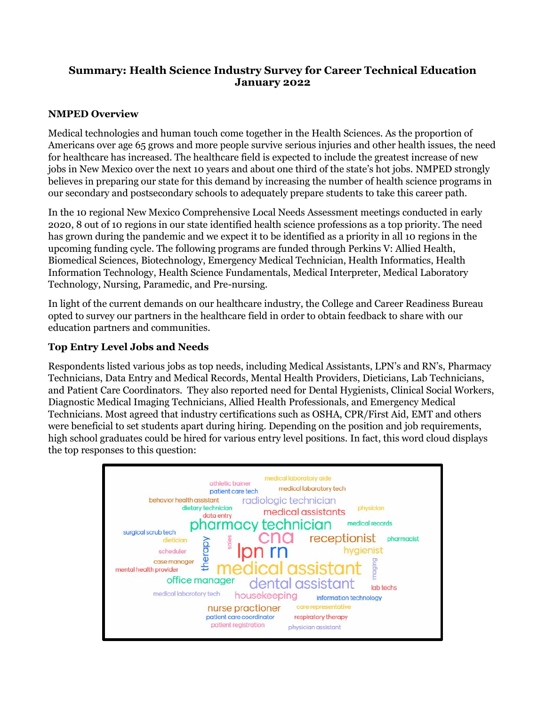# **Summary: Health Science Industry Survey for Career Technical Education January 2022**

## **NMPED Overview**

Medical technologies and human touch come together in the Health Sciences. As the proportion of Americans over age 65 grows and more people survive serious injuries and other health issues, the need for healthcare has increased. The healthcare field is expected to include the greatest increase of new jobs in New Mexico over the next 10 years and about one third of the state's hot jobs. NMPED strongly believes in preparing our state for this demand by increasing the number of health science programs in our secondary and postsecondary schools to adequately prepare students to take this career path.

In the 10 regional New Mexico Comprehensive Local Needs Assessment meetings conducted in early 2020, 8 out of 10 regions in our state identified health science professions as a top priority. The need has grown during the pandemic and we expect it to be identified as a priority in all 10 regions in the upcoming funding cycle. The following programs are funded through Perkins V: Allied Health, Biomedical Sciences, Biotechnology, Emergency Medical Technician, Health Informatics, Health Information Technology, Health Science Fundamentals, Medical Interpreter, Medical Laboratory Technology, Nursing, Paramedic, and Pre-nursing.

In light of the current demands on our healthcare industry, the College and Career Readiness Bureau opted to survey our partners in the healthcare field in order to obtain feedback to share with our education partners and communities.

## **Top Entry Level Jobs and Needs**

Respondents listed various jobs as top needs, including Medical Assistants, LPN's and RN's, Pharmacy Technicians, Data Entry and Medical Records, Mental Health Providers, Dieticians, Lab Technicians, and Patient Care Coordinators. They also reported need for Dental Hygienists, Clinical Social Workers, Diagnostic Medical Imaging Technicians, Allied Health Professionals, and Emergency Medical Technicians. Most agreed that industry certifications such as OSHA, CPR/First Aid, EMT and others were beneficial to set students apart during hiring. Depending on the position and job requirements, high school graduates could be hired for various entry level positions. In fact, this word cloud displays the top responses to this question:

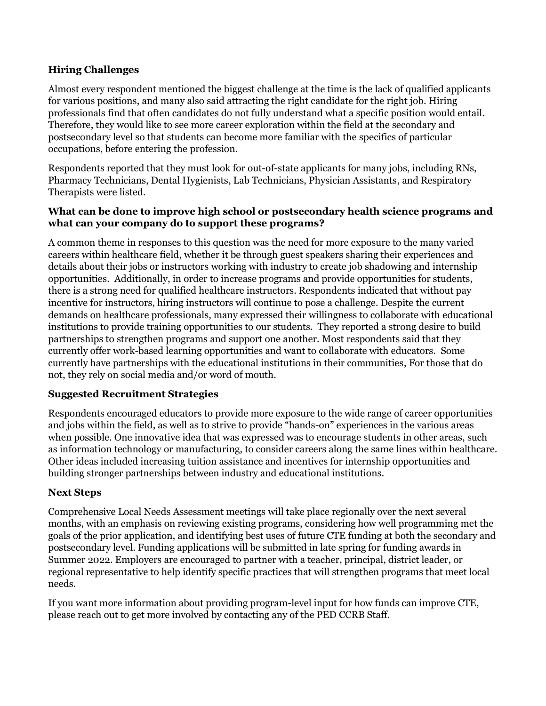## **Hiring Challenges**

Almost every respondent mentioned the biggest challenge at the time is the lack of qualified applicants for various positions, and many also said attracting the right candidate for the right job. Hiring professionals find that often candidates do not fully understand what a specific position would entail. Therefore, they would like to see more career exploration within the field at the secondary and postsecondary level so that students can become more familiar with the specifics of particular occupations, before entering the profession.

Respondents reported that they must look for out-of-state applicants for many jobs, including RNs, Pharmacy Technicians, Dental Hygienists, Lab Technicians, Physician Assistants, and Respiratory Therapists were listed.

## **What can be done to improve high school or postsecondary health science programs and what can your company do to support these programs?**

A common theme in responses to this question was the need for more exposure to the many varied careers within healthcare field, whether it be through guest speakers sharing their experiences and details about their jobs or instructors working with industry to create job shadowing and internship opportunities. Additionally, in order to increase programs and provide opportunities for students, there is a strong need for qualified healthcare instructors. Respondents indicated that without pay incentive for instructors, hiring instructors will continue to pose a challenge. Despite the current demands on healthcare professionals, many expressed their willingness to collaborate with educational institutions to provide training opportunities to our students. They reported a strong desire to build partnerships to strengthen programs and support one another. Most respondents said that they currently offer work-based learning opportunities and want to collaborate with educators. Some currently have partnerships with the educational institutions in their communities, For those that do not, they rely on social media and/or word of mouth.

## **Suggested Recruitment Strategies**

Respondents encouraged educators to provide more exposure to the wide range of career opportunities and jobs within the field, as well as to strive to provide "hands-on" experiences in the various areas when possible. One innovative idea that was expressed was to encourage students in other areas, such as information technology or manufacturing, to consider careers along the same lines within healthcare. Other ideas included increasing tuition assistance and incentives for internship opportunities and building stronger partnerships between industry and educational institutions.

## **Next Steps**

Comprehensive Local Needs Assessment meetings will take place regionally over the next several months, with an emphasis on reviewing existing programs, considering how well programming met the goals of the prior application, and identifying best uses of future CTE funding at both the secondary and postsecondary level. Funding applications will be submitted in late spring for funding awards in Summer 2022. Employers are encouraged to partner with a teacher, principal, district leader, or regional representative to help identify specific practices that will strengthen programs that meet local needs.

If you want more information about providing program-level input for how funds can improve CTE, please reach out to get more involved by contacting any of the PED CCRB Staff.